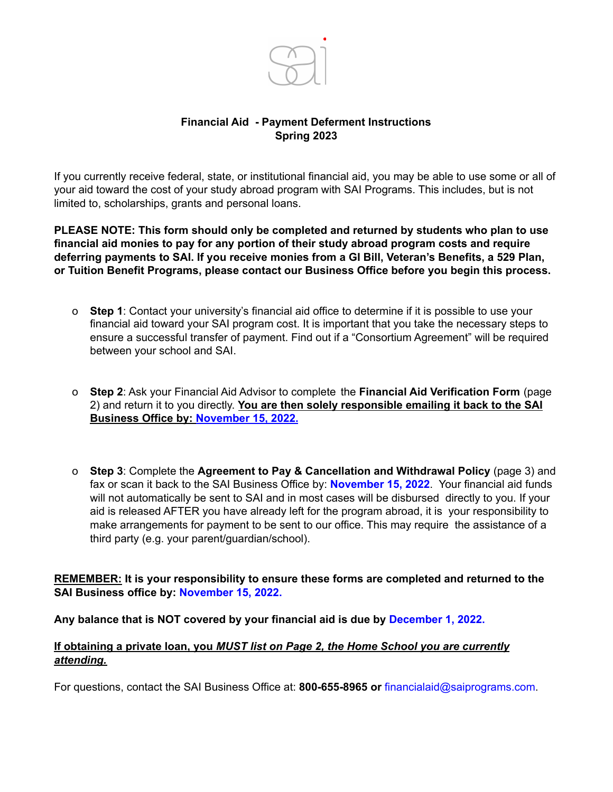

# **Financial Aid - Payment Deferment Instructions Spring 2023**

If you currently receive federal, state, or institutional financial aid, you may be able to use some or all of your aid toward the cost of your study abroad program with SAI Programs. This includes, but is not limited to, scholarships, grants and personal loans.

**PLEASE NOTE: This form should only be completed and returned by students who plan to use financial aid monies to pay for any portion of their study abroad program costs and require deferring payments to SAI. If you receive monies from a GI Bill, Veteran's Benefits, a 529 Plan, or Tuition Benefit Programs, please contact our Business Office before you begin this process.**

- o **Step 1**: Contact your university's financial aid office to determine if it is possible to use your financial aid toward your SAI program cost. It is important that you take the necessary steps to ensure a successful transfer of payment. Find out if a "Consortium Agreement" will be required between your school and SAI.
- o **Step 2**: Ask your Financial Aid Advisor to complete the **Financial Aid Verification Form** (page 2) and return it to you directly. **You are then solely responsible emailing it back to the SAI Business Office by: November 15, 2022.**
- o **Step 3**: Complete the **Agreement to Pay & Cancellation and Withdrawal Policy** (page 3) and fax or scan it back to the SAI Business Office by: **November 15, 2022**. Your financial aid funds will not automatically be sent to SAI and in most cases will be disbursed directly to you. If your aid is released AFTER you have already left for the program abroad, it is your responsibility to make arrangements for payment to be sent to our office. This may require the assistance of a third party (e.g. your parent/guardian/school).

**REMEMBER: It is your responsibility to ensure these forms are completed and returned to the SAI Business office by: November 15, 2022.**

#### **Any balance that is NOT covered by your financial aid is due by December 1, 2022.**

## **If obtaining a private loan, you** *MUST list on Page 2, the Home School you are currently attending.*

For questions, contact the SAI Business Office at: **800-655-8965 or** [financialaid@saiprograms.com.](mailto:financialaid@saiprograms.com)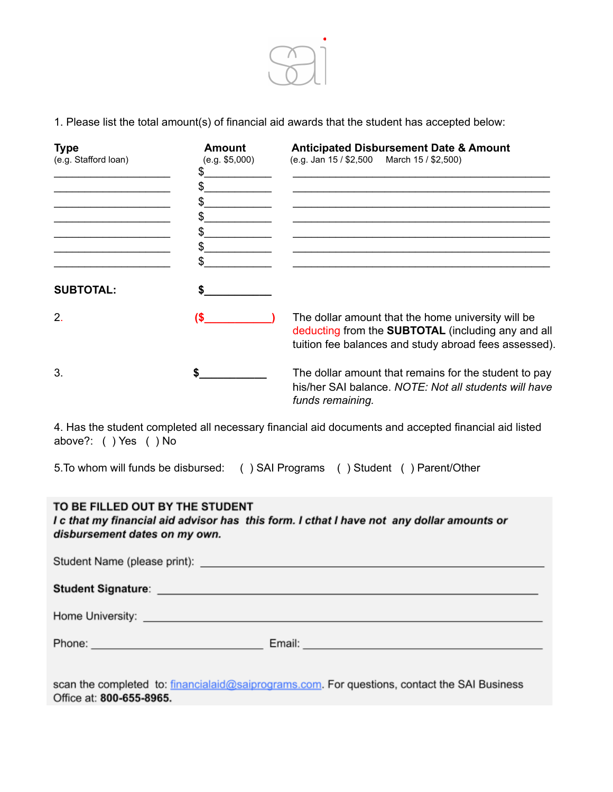

1. Please list the total amount(s) of financial aid awards that the student has accepted below:

| <b>Type</b><br>(e.g. Stafford loan) | <b>Amount</b><br>(e.g. \$5,000)<br>\$<br>\$. | <b>Anticipated Disbursement Date &amp; Amount</b><br>(e.g. Jan 15 / \$2,500 March 15 / \$2,500)                                                                   |
|-------------------------------------|----------------------------------------------|-------------------------------------------------------------------------------------------------------------------------------------------------------------------|
| <b>SUBTOTAL:</b>                    | \$<br>S                                      |                                                                                                                                                                   |
| 2.                                  | (S                                           | The dollar amount that the home university will be<br>deducting from the SUBTOTAL (including any and all<br>tuition fee balances and study abroad fees assessed). |
| 3.                                  |                                              | The dollar amount that remains for the student to pay<br>his/her SAI balance. NOTE: Not all students will have<br>funds remaining.                                |

4. Has the student completed all necessary financial aid documents and accepted financial aid listed above?: ( ) Yes ( ) No

5.To whom will funds be disbursed: ( ) SAI Programs ( ) Student ( ) Parent/Other

## TO BE FILLED OUT BY THE STUDENT

I c that my financial aid advisor has this form. I cthat I have not any dollar amounts or disbursement dates on my own.

|                                             | Student Signature: <u>Quality of the Community of the Community of the Community of the Community of the Community of the Community of the Community of the Community of the Community of the Community of the Community of the </u> |  |  |
|---------------------------------------------|--------------------------------------------------------------------------------------------------------------------------------------------------------------------------------------------------------------------------------------|--|--|
|                                             |                                                                                                                                                                                                                                      |  |  |
| Phone: <u>_____________________________</u> | Email: North American State Communication of the Communication of the Communication of the Communication of the Communication of the Communication of the Communication of the Communication of the Communication of the Commu       |  |  |
|                                             |                                                                                                                                                                                                                                      |  |  |

scan the completed to: financialaid@saiprograms.com. For questions, contact the SAI Business Office at: 800-655-8965.